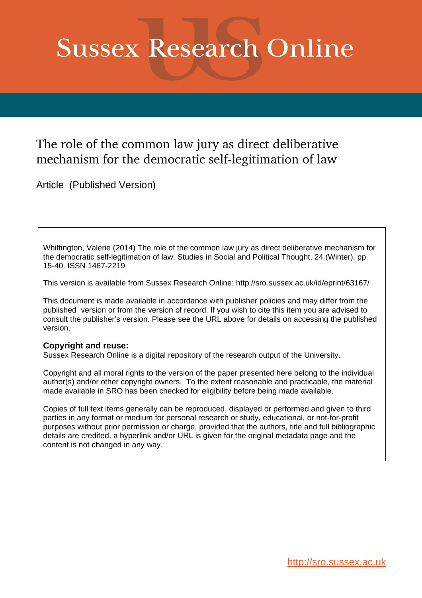# **Sussex Research Online**

# The role of the common law jury as direct deliberative mechanism for the democratic self-legitimation of law

Article (Published Version)

Whittington, Valerie (2014) The role of the common law jury as direct deliberative mechanism for the democratic self-legitimation of law. Studies in Social and Political Thought, 24 (Winter). pp. 15-40. ISSN 1467-2219

This version is available from Sussex Research Online: http://sro.sussex.ac.uk/id/eprint/63167/

This document is made available in accordance with publisher policies and may differ from the published version or from the version of record. If you wish to cite this item you are advised to consult the publisher's version. Please see the URL above for details on accessing the published version.

## **Copyright and reuse:**

Sussex Research Online is a digital repository of the research output of the University.

Copyright and all moral rights to the version of the paper presented here belong to the individual author(s) and/or other copyright owners. To the extent reasonable and practicable, the material made available in SRO has been checked for eligibility before being made available.

Copies of full text items generally can be reproduced, displayed or performed and given to third parties in any format or medium for personal research or study, educational, or not-for-profit purposes without prior permission or charge, provided that the authors, title and full bibliographic details are credited, a hyperlink and/or URL is given for the original metadata page and the content is not changed in any way.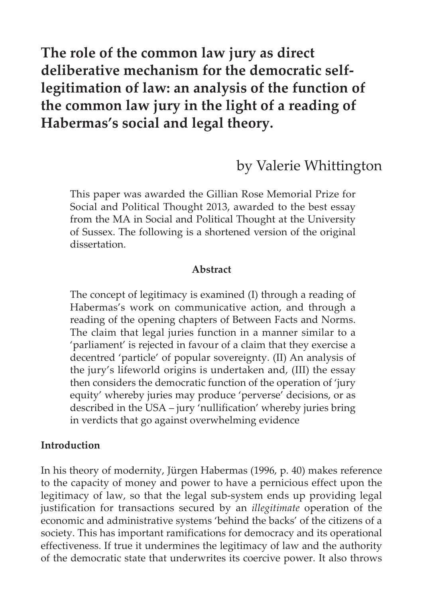# **The role of the common law jury as direct deliberative mechanism for the democratic selflegitimation of law: an analysis of the function of the common law jury in the light of a reading of Habermas's social and legal theory.**

## by Valerie Whittington

This paper was awarded the Gillian Rose Memorial Prize for Social and Political Thought 2013, awarded to the best essay from the MA in Social and Political Thought at the University of Sussex. The following is a shortened version of the original dissertation.

#### **Abstract**

The concept of legitimacy is examined (I) through a reading of Habermas's work on communicative action, and through a reading of the opening chapters of Between Facts and Norms. The claim that legal juries function in a manner similar to a 'parliament' is rejected in favour of a claim that they exercise a decentred 'particle' of popular sovereignty. (II) An analysis of the jury's lifeworld origins is undertaken and, (III) the essay then considers the democratic function of the operation of 'jury equity' whereby juries may produce 'perverse' decisions, or as described in the USA – jury 'nullification' whereby juries bring in verdicts that go against overwhelming evidence

#### **Introduction**

In his theory of modernity, Jürgen Habermas (1996, p. 40) makes reference to the capacity of money and power to have a pernicious effect upon the legitimacy of law, so that the legal sub-system ends up providing legal justification for transactions secured by an *illegitimate* operation of the economic and administrative systems 'behind the backs' of the citizens of a society. This has important ramifications for democracy and its operational effectiveness. If true it undermines the legitimacy of law and the authority of the democratic state that underwrites its coercive power. It also throws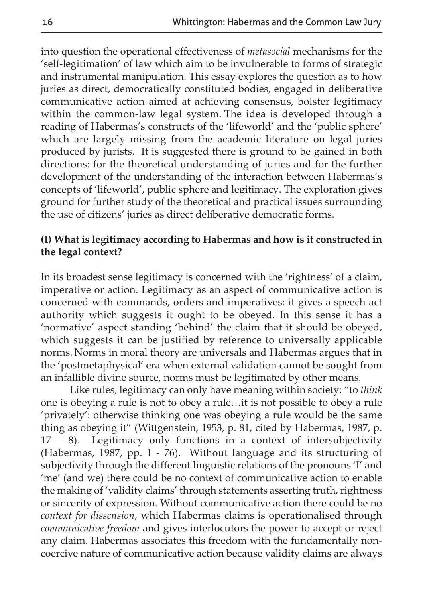into question the operational effectiveness of *metasocial* mechanisms for the 'self-legitimation' of law which aim to be invulnerable to forms of strategic and instrumental manipulation. This essay explores the question as to how juries as direct, democratically constituted bodies, engaged in deliberative communicative action aimed at achieving consensus, bolster legitimacy within the common-law legal system. The idea is developed through a reading of Habermas's constructs of the 'lifeworld' and the 'public sphere' which are largely missing from the academic literature on legal juries produced by jurists. It is suggested there is ground to be gained in both directions: for the theoretical understanding of juries and for the further development of the understanding of the interaction between Habermas's concepts of 'lifeworld', public sphere and legitimacy. The exploration gives ground for further study of the theoretical and practical issues surrounding the use of citizens' juries as direct deliberative democratic forms.

#### **(I) What is legitimacy according to Habermas and how is it constructed in the legal context?**

In its broadest sense legitimacy is concerned with the 'rightness' of a claim, imperative or action. Legitimacy as an aspect of communicative action is concerned with commands, orders and imperatives: it gives a speech act authority which suggests it ought to be obeyed. In this sense it has a 'normative' aspect standing 'behind' the claim that it should be obeyed, which suggests it can be justified by reference to universally applicable norms. Norms in moral theory are universals and Habermas argues that in the 'postmetaphysical' era when external validation cannot be sought from an infallible divine source, norms must be legitimated by other means.

Like rules, legitimacy can only have meaning within society: "to *think* one is obeying a rule is not to obey a rule…it is not possible to obey a rule 'privately': otherwise thinking one was obeying a rule would be the same thing as obeying it" (Wittgenstein, 1953, p. 81, cited by Habermas, 1987, p. 17 – 8). Legitimacy only functions in a context of intersubjectivity (Habermas, 1987, pp. 1 - 76). Without language and its structuring of subjectivity through the different linguistic relations of the pronouns 'I' and 'me' (and we) there could be no context of communicative action to enable the making of 'validity claims' through statements asserting truth, rightness or sincerity of expression. Without communicative action there could be no *context for dissension*, which Habermas claims is operationalised through *communicative freedom* and gives interlocutors the power to accept or reject any claim. Habermas associates this freedom with the fundamentally noncoercive nature of communicative action because validity claims are always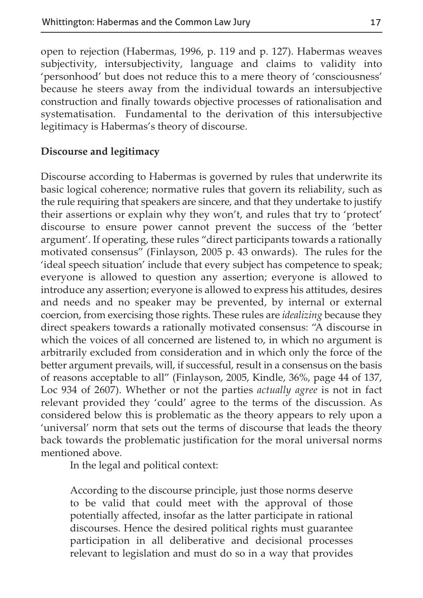open to rejection (Habermas, 1996, p. 119 and p. 127). Habermas weaves subjectivity, intersubjectivity, language and claims to validity into 'personhood' but does not reduce this to a mere theory of 'consciousness' because he steers away from the individual towards an intersubjective construction and finally towards objective processes of rationalisation and systematisation. Fundamental to the derivation of this intersubjective legitimacy is Habermas's theory of discourse.

#### **Discourse and legitimacy**

Discourse according to Habermas is governed by rules that underwrite its basic logical coherence; normative rules that govern its reliability, such as the rule requiring that speakers are sincere, and that they undertake to justify their assertions or explain why they won't, and rules that try to 'protect' discourse to ensure power cannot prevent the success of the 'better argument'. If operating, these rules "direct participants towards a rationally motivated consensus" (Finlayson, 2005 p. 43 onwards). The rules for the 'ideal speech situation' include that every subject has competence to speak; everyone is allowed to question any assertion; everyone is allowed to introduce any assertion; everyone is allowed to express his attitudes, desires and needs and no speaker may be prevented, by internal or external coercion, from exercising those rights. These rules are *idealizing* because they direct speakers towards a rationally motivated consensus: "A discourse in which the voices of all concerned are listened to, in which no argument is arbitrarily excluded from consideration and in which only the force of the better argument prevails, will, if successful, result in a consensus on the basis of reasons acceptable to all" (Finlayson, 2005, Kindle, 36%, page 44 of 137, Loc 934 of 2607). Whether or not the parties *actually agree* is not in fact relevant provided they 'could' agree to the terms of the discussion. As considered below this is problematic as the theory appears to rely upon a 'universal' norm that sets out the terms of discourse that leads the theory back towards the problematic justification for the moral universal norms mentioned above.

In the legal and political context:

According to the discourse principle, just those norms deserve to be valid that could meet with the approval of those potentially affected, insofar as the latter participate in rational discourses. Hence the desired political rights must guarantee participation in all deliberative and decisional processes relevant to legislation and must do so in a way that provides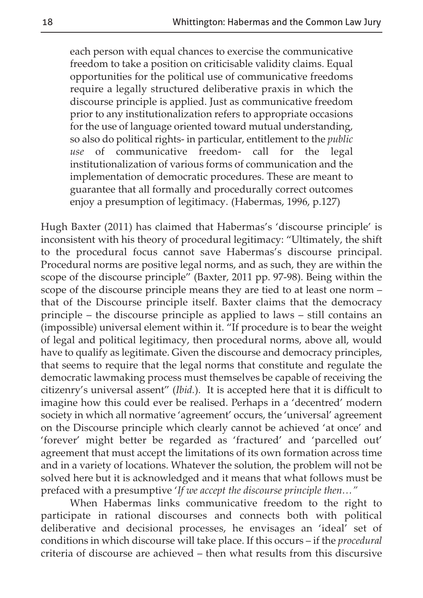each person with equal chances to exercise the communicative freedom to take a position on criticisable validity claims. Equal opportunities for the political use of communicative freedoms require a legally structured deliberative praxis in which the discourse principle is applied. Just as communicative freedom prior to any institutionalization refers to appropriate occasions for the use of language oriented toward mutual understanding, so also do political rights- in particular, entitlement to the *public use* of communicative freedom- call for the legal institutionalization of various forms of communication and the implementation of democratic procedures. These are meant to guarantee that all formally and procedurally correct outcomes enjoy a presumption of legitimacy. (Habermas, 1996, p.127)

Hugh Baxter (2011) has claimed that Habermas's 'discourse principle' is inconsistent with his theory of procedural legitimacy: "Ultimately, the shift to the procedural focus cannot save Habermas's discourse principal. Procedural norms are positive legal norms, and as such, they are within the scope of the discourse principle" (Baxter, 2011 pp. 97-98). Being within the scope of the discourse principle means they are tied to at least one norm – that of the Discourse principle itself. Baxter claims that the democracy principle – the discourse principle as applied to laws – still contains an (impossible) universal element within it. "If procedure is to bear the weight of legal and political legitimacy, then procedural norms, above all, would have to qualify as legitimate. Given the discourse and democracy principles, that seems to require that the legal norms that constitute and regulate the democratic lawmaking process must themselves be capable of receiving the citizenry's universal assent" (*Ibid.*). It is accepted here that it is difficult to imagine how this could ever be realised. Perhaps in a 'decentred' modern society in which all normative 'agreement' occurs, the 'universal' agreement on the Discourse principle which clearly cannot be achieved 'at once' and 'forever' might better be regarded as 'fractured' and 'parcelled out' agreement that must accept the limitations of its own formation across time and in a variety of locations. Whatever the solution, the problem will not be solved here but it is acknowledged and it means that what follows must be prefaced with a presumptive '*If we accept the discourse principle then…"*

When Habermas links communicative freedom to the right to participate in rational discourses and connects both with political deliberative and decisional processes, he envisages an 'ideal' set of conditions in which discourse will take place. If this occurs – if the *procedural* criteria of discourse are achieved – then what results from this discursive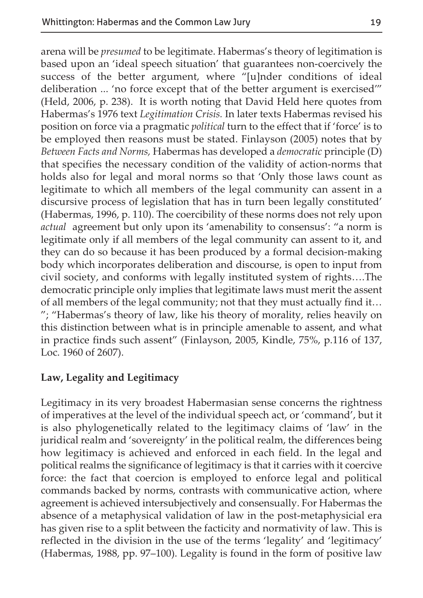arena will be *presumed* to be legitimate. Habermas's theory of legitimation is based upon an 'ideal speech situation' that guarantees non-coercively the success of the better argument, where "[u]nder conditions of ideal deliberation ... 'no force except that of the better argument is exercised'" (Held, 2006, p. 238). It is worth noting that David Held here quotes from Habermas's 1976 text *Legitimation Crisis.* In later texts Habermas revised his position on force via a pragmatic *political* turn to the effect that if 'force' is to be employed then reasons must be stated. Finlayson (2005) notes that by *Between Facts and Norms,* Habermas has developed a *democratic* principle (D) that specifies the necessary condition of the validity of action-norms that holds also for legal and moral norms so that 'Only those laws count as legitimate to which all members of the legal community can assent in a discursive process of legislation that has in turn been legally constituted' (Habermas, 1996, p. 110). The coercibility of these norms does not rely upon *actual* agreement but only upon its 'amenability to consensus': "a norm is legitimate only if all members of the legal community can assent to it, and they can do so because it has been produced by a formal decision-making body which incorporates deliberation and discourse, is open to input from civil society, and conforms with legally instituted system of rights….The democratic principle only implies that legitimate laws must merit the assent of all members of the legal community; not that they must actually find it… "; "Habermas's theory of law, like his theory of morality, relies heavily on this distinction between what is in principle amenable to assent, and what in practice finds such assent" (Finlayson, 2005, Kindle, 75%, p.116 of 137, Loc. 1960 of 2607).

#### **Law, Legality and Legitimacy**

Legitimacy in its very broadest Habermasian sense concerns the rightness of imperatives at the level of the individual speech act, or 'command', but it is also phylogenetically related to the legitimacy claims of 'law' in the juridical realm and 'sovereignty' in the political realm, the differences being how legitimacy is achieved and enforced in each field. In the legal and political realms the significance of legitimacy is that it carries with it coercive force: the fact that coercion is employed to enforce legal and political commands backed by norms, contrasts with communicative action, where agreement is achieved intersubjectively and consensually. For Habermas the absence of a metaphysical validation of law in the post-metaphysicial era has given rise to a split between the facticity and normativity of law. This is reflected in the division in the use of the terms 'legality' and 'legitimacy' (Habermas, 1988, pp. 97–100). Legality is found in the form of positive law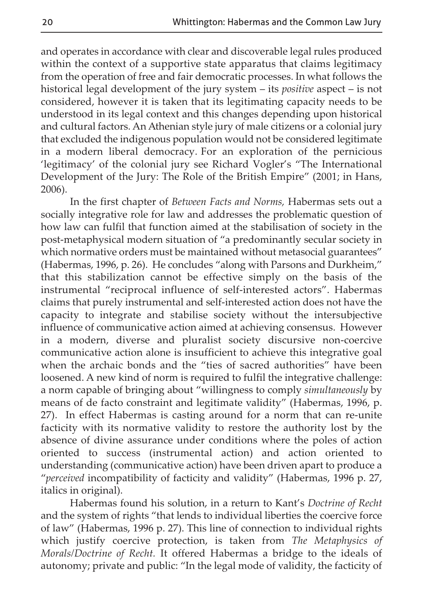and operates in accordance with clear and discoverable legal rules produced within the context of a supportive state apparatus that claims legitimacy from the operation of free and fair democratic processes. In what follows the historical legal development of the jury system – its *positive* aspect – is not considered, however it is taken that its legitimating capacity needs to be understood in its legal context and this changes depending upon historical and cultural factors. An Athenian style jury of male citizens or a colonial jury that excluded the indigenous population would not be considered legitimate in a modern liberal democracy. For an exploration of the pernicious 'legitimacy' of the colonial jury see Richard Vogler's "The International Development of the Jury: The Role of the British Empire" (2001; in Hans, 2006).

In the first chapter of *Between Facts and Norms,* Habermas sets out a socially integrative role for law and addresses the problematic question of how law can fulfil that function aimed at the stabilisation of society in the post-metaphysical modern situation of "a predominantly secular society in which normative orders must be maintained without metasocial guarantees" (Habermas, 1996, p. 26). He concludes "along with Parsons and Durkheim," that this stabilization cannot be effective simply on the basis of the instrumental "reciprocal influence of self-interested actors". Habermas claims that purely instrumental and self-interested action does not have the capacity to integrate and stabilise society without the intersubjective influence of communicative action aimed at achieving consensus. However in a modern, diverse and pluralist society discursive non-coercive communicative action alone is insufficient to achieve this integrative goal when the archaic bonds and the "ties of sacred authorities" have been loosened. A new kind of norm is required to fulfil the integrative challenge: a norm capable of bringing about "willingness to comply *simultaneously* by means of de facto constraint and legitimate validity" (Habermas, 1996, p. 27). In effect Habermas is casting around for a norm that can re-unite facticity with its normative validity to restore the authority lost by the absence of divine assurance under conditions where the poles of action oriented to success (instrumental action) and action oriented to understanding (communicative action) have been driven apart to produce a "*perceived* incompatibility of facticity and validity" (Habermas, 1996 p. 27, italics in original).

Habermas found his solution, in a return to Kant's *Doctrine of Recht* and the system of rights "that lends to individual liberties the coercive force of law" (Habermas, 1996 p. 27). This line of connection to individual rights which justify coercive protection, is taken from *The Metaphysics of Morals/Doctrine of Recht.* It offered Habermas a bridge to the ideals of autonomy; private and public: "In the legal mode of validity, the facticity of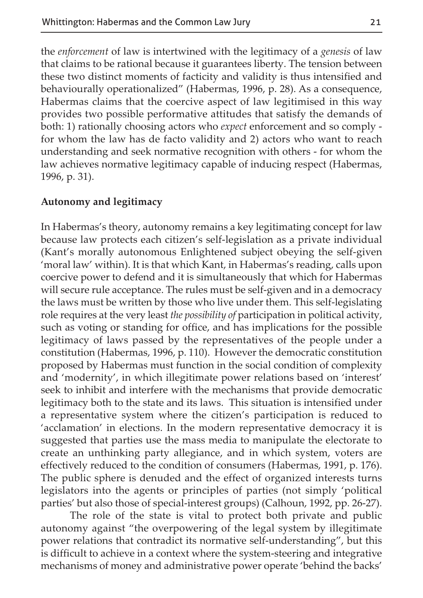the *enforcement* of law is intertwined with the legitimacy of a *genesis* of law that claims to be rational because it guarantees liberty. The tension between these two distinct moments of facticity and validity is thus intensified and behaviourally operationalized" (Habermas, 1996, p. 28). As a consequence, Habermas claims that the coercive aspect of law legitimised in this way provides two possible performative attitudes that satisfy the demands of both: 1) rationally choosing actors who *expect* enforcement and so comply for whom the law has de facto validity and 2) actors who want to reach understanding and seek normative recognition with others - for whom the law achieves normative legitimacy capable of inducing respect (Habermas, 1996, p. 31).

#### **Autonomy and legitimacy**

In Habermas's theory, autonomy remains a key legitimating concept for law because law protects each citizen's self-legislation as a private individual (Kant's morally autonomous Enlightened subject obeying the self-given 'moral law' within). It is that which Kant, in Habermas's reading, calls upon coercive power to defend and it is simultaneously that which for Habermas will secure rule acceptance. The rules must be self-given and in a democracy the laws must be written by those who live under them. This self-legislating role requires at the very least *the possibility of* participation in political activity, such as voting or standing for office, and has implications for the possible legitimacy of laws passed by the representatives of the people under a constitution (Habermas, 1996, p. 110). However the democratic constitution proposed by Habermas must function in the social condition of complexity and 'modernity', in which illegitimate power relations based on 'interest' seek to inhibit and interfere with the mechanisms that provide democratic legitimacy both to the state and its laws. This situation is intensified under a representative system where the citizen's participation is reduced to 'acclamation' in elections. In the modern representative democracy it is suggested that parties use the mass media to manipulate the electorate to create an unthinking party allegiance, and in which system, voters are effectively reduced to the condition of consumers (Habermas, 1991, p. 176). The public sphere is denuded and the effect of organized interests turns legislators into the agents or principles of parties (not simply 'political parties' but also those of special-interest groups) (Calhoun, 1992, pp. 26-27).

The role of the state is vital to protect both private and public autonomy against "the overpowering of the legal system by illegitimate power relations that contradict its normative self-understanding", but this is difficult to achieve in a context where the system-steering and integrative mechanisms of money and administrative power operate 'behind the backs'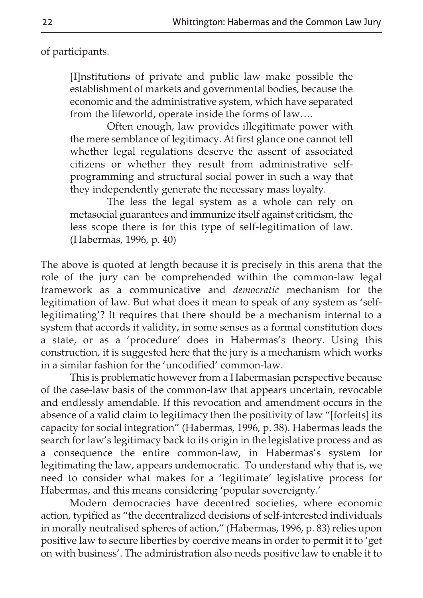of participants.

[I]nstitutions of private and public law make possible the establishment of markets and governmental bodies, because the economic and the administrative system, which have separated from the lifeworld, operate inside the forms of law….

Often enough, law provides illegitimate power with the mere semblance of legitimacy. At first glance one cannot tell whether legal regulations deserve the assent of associated citizens or whether they result from administrative selfprogramming and structural social power in such a way that they independently generate the necessary mass loyalty.

The less the legal system as a whole can rely on metasocial guarantees and immunize itself against criticism, the less scope there is for this type of self-legitimation of law. (Habermas, 1996, p. 40)

The above is quoted at length because it is precisely in this arena that the role of the jury can be comprehended within the common-law legal framework as a communicative and *democratic* mechanism for the legitimation of law. But what does it mean to speak of any system as 'selflegitimating'? It requires that there should be a mechanism internal to a system that accords it validity, in some senses as a formal constitution does a state, or as a 'procedure' does in Habermas's theory. Using this construction, it is suggested here that the jury is a mechanism which works in a similar fashion for the 'uncodified' common-law.

This is problematic however from a Habermasian perspective because of the case-law basis of the common-law that appears uncertain, revocable and endlessly amendable. If this revocation and amendment occurs in the absence of a valid claim to legitimacy then the positivity of law "[forfeits] its capacity for social integration" (Habermas, 1996, p. 38). Habermas leads the search for law's legitimacy back to its origin in the legislative process and as a consequence the entire common-law, in Habermas's system for legitimating the law, appears undemocratic. To understand why that is, we need to consider what makes for a 'legitimate' legislative process for Habermas, and this means considering 'popular sovereignty.'

Modern democracies have decentred societies, where economic action, typified as "the decentralized decisions of self-interested individuals in morally neutralised spheres of action," (Habermas, 1996, p. 83) relies upon positive law to secure liberties by coercive means in order to permit it to 'get on with business'. The administration also needs positive law to enable it to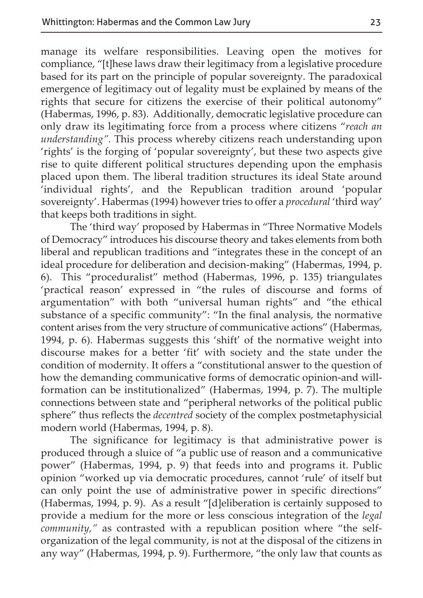manage its welfare responsibilities. Leaving open the motives for compliance, "[t]hese laws draw their legitimacy from a legislative procedure based for its part on the principle of popular sovereignty. The paradoxical emergence of legitimacy out of legality must be explained by means of the rights that secure for citizens the exercise of their political autonomy" (Habermas, 1996, p. 83). Additionally, democratic legislative procedure can only draw its legitimating force from a process where citizens "*reach an understanding".* This process whereby citizens reach understanding upon 'rights' is the forging of 'popular sovereignty', but these two aspects give rise to quite different political structures depending upon the emphasis placed upon them. The liberal tradition structures its ideal State around 'individual rights', and the Republican tradition around 'popular sovereignty'. Habermas (1994) however tries to offer a *procedural* 'third way' that keeps both traditions in sight.

The 'third way' proposed by Habermas in "Three Normative Models of Democracy" introduces his discourse theory and takes elements from both liberal and republican traditions and "integrates these in the concept of an ideal procedure for deliberation and decision-making" (Habermas, 1994, p. 6). This "proceduralist" method (Habermas, 1996, p. 135) triangulates 'practical reason' expressed in "the rules of discourse and forms of argumentation" with both "universal human rights" and "the ethical substance of a specific community": "In the final analysis, the normative content arises from the very structure of communicative actions" (Habermas, 1994, p. 6). Habermas suggests this 'shift' of the normative weight into discourse makes for a better 'fit' with society and the state under the condition of modernity. It offers a "constitutional answer to the question of how the demanding communicative forms of democratic opinion-and willformation can be institutionalized" (Habermas, 1994, p. 7). The multiple connections between state and "peripheral networks of the political public sphere" thus reflects the *decentred* society of the complex postmetaphysicial modern world (Habermas, 1994, p. 8).

The significance for legitimacy is that administrative power is produced through a sluice of "a public use of reason and a communicative power" (Habermas, 1994, p. 9) that feeds into and programs it. Public opinion "worked up via democratic procedures, cannot 'rule' of itself but can only point the use of administrative power in specific directions" (Habermas, 1994, p. 9). As a result "[d]eliberation is certainly supposed to provide a medium for the more or less conscious integration of the *legal community,"* as contrasted with a republican position where "the selforganization of the legal community, is not at the disposal of the citizens in any way" (Habermas, 1994, p. 9). Furthermore, "the only law that counts as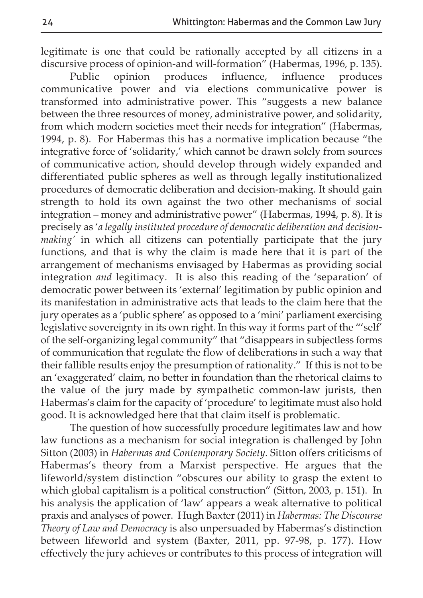legitimate is one that could be rationally accepted by all citizens in a discursive process of opinion-and will-formation" (Habermas, 1996, p. 135).<br>Public opinion produces influence, influence produces

Public opinion produces influence, communicative power and via elections communicative power is transformed into administrative power. This "suggests a new balance between the three resources of money, administrative power, and solidarity, from which modern societies meet their needs for integration" (Habermas, 1994, p. 8). For Habermas this has a normative implication because "the integrative force of 'solidarity,' which cannot be drawn solely from sources of communicative action, should develop through widely expanded and differentiated public spheres as well as through legally institutionalized procedures of democratic deliberation and decision-making*.* It should gain strength to hold its own against the two other mechanisms of social integration – money and administrative power" (Habermas, 1994, p. 8). It is precisely as '*a legally instituted procedure of democratic deliberation and decisionmaking'* in which all citizens can potentially participate that the jury functions, and that is why the claim is made here that it is part of the arrangement of mechanisms envisaged by Habermas as providing social integration *and* legitimacy. It is also this reading of the 'separation' of democratic power between its 'external' legitimation by public opinion and its manifestation in administrative acts that leads to the claim here that the jury operates as a 'public sphere' as opposed to a 'mini' parliament exercising legislative sovereignty in its own right. In this way it forms part of the "'self' of the self-organizing legal community" that "disappears in subjectless forms of communication that regulate the flow of deliberations in such a way that their fallible results enjoy the presumption of rationality." If this is not to be an 'exaggerated' claim, no better in foundation than the rhetorical claims to the value of the jury made by sympathetic common-law jurists, then Habermas's claim for the capacity of 'procedure' to legitimate must also hold good. It is acknowledged here that that claim itself is problematic.

The question of how successfully procedure legitimates law and how law functions as a mechanism for social integration is challenged by John Sitton (2003) in *Habermas and Contemporary Society.* Sitton offers criticisms of Habermas's theory from a Marxist perspective. He argues that the lifeworld/system distinction "obscures our ability to grasp the extent to which global capitalism is a political construction" (Sitton, 2003, p. 151). In his analysis the application of 'law' appears a weak alternative to political praxis and analyses of power. Hugh Baxter (2011) in *Habermas: The Discourse Theory of Law and Democracy* is also unpersuaded by Habermas's distinction between lifeworld and system (Baxter, 2011, pp. 97-98, p. 177). How effectively the jury achieves or contributes to this process of integration will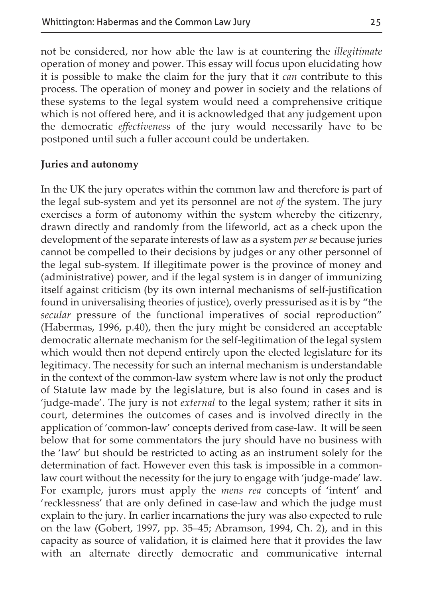not be considered, nor how able the law is at countering the *illegitimate* operation of money and power. This essay will focus upon elucidating how it is possible to make the claim for the jury that it *can* contribute to this process. The operation of money and power in society and the relations of these systems to the legal system would need a comprehensive critique which is not offered here, and it is acknowledged that any judgement upon the democratic *effectiveness* of the jury would necessarily have to be postponed until such a fuller account could be undertaken.

#### **Juries and autonomy**

In the UK the jury operates within the common law and therefore is part of the legal sub-system and yet its personnel are not *of* the system. The jury exercises a form of autonomy within the system whereby the citizenry, drawn directly and randomly from the lifeworld, act as a check upon the development of the separate interests of law as a system *per se* because juries cannot be compelled to their decisions by judges or any other personnel of the legal sub-system*.* If illegitimate power is the province of money and (administrative) power, and if the legal system is in danger of immunizing itself against criticism (by its own internal mechanisms of self-justification found in universalising theories of justice), overly pressurised as it is by "the *secular* pressure of the functional imperatives of social reproduction" (Habermas, 1996, p.40), then the jury might be considered an acceptable democratic alternate mechanism for the self-legitimation of the legal system which would then not depend entirely upon the elected legislature for its legitimacy. The necessity for such an internal mechanism is understandable in the context of the common-law system where law is not only the product of Statute law made by the legislature, but is also found in cases and is 'judge-made'. The jury is not *external* to the legal system; rather it sits in court, determines the outcomes of cases and is involved directly in the application of 'common-law' concepts derived from case-law. It will be seen below that for some commentators the jury should have no business with the 'law' but should be restricted to acting as an instrument solely for the determination of fact. However even this task is impossible in a commonlaw court without the necessity for the jury to engage with 'judge-made' law. For example, jurors must apply the *mens rea* concepts of 'intent' and 'recklessness' that are only defined in case-law and which the judge must explain to the jury. In earlier incarnations the jury was also expected to rule on the law (Gobert, 1997, pp. 35–45; Abramson, 1994, Ch. 2), and in this capacity as source of validation, it is claimed here that it provides the law with an alternate directly democratic and communicative internal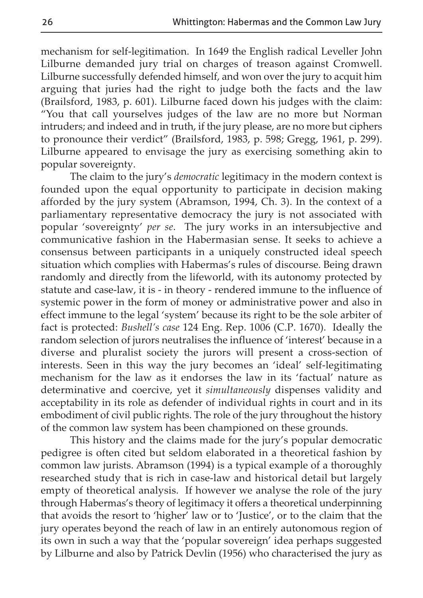mechanism for self-legitimation. In 1649 the English radical Leveller John Lilburne demanded jury trial on charges of treason against Cromwell. Lilburne successfully defended himself, and won over the jury to acquit him arguing that juries had the right to judge both the facts and the law (Brailsford, 1983, p. 601). Lilburne faced down his judges with the claim: "You that call yourselves judges of the law are no more but Norman intruders; and indeed and in truth, if the jury please, are no more but ciphers to pronounce their verdict" (Brailsford, 1983, p. 598; Gregg, 1961, p. 299). Lilburne appeared to envisage the jury as exercising something akin to popular sovereignty.

The claim to the jury's *democratic* legitimacy in the modern context is founded upon the equal opportunity to participate in decision making afforded by the jury system (Abramson, 1994, Ch. 3). In the context of a parliamentary representative democracy the jury is not associated with popular 'sovereignty' *per se*. The jury works in an intersubjective and communicative fashion in the Habermasian sense. It seeks to achieve a consensus between participants in a uniquely constructed ideal speech situation which complies with Habermas's rules of discourse. Being drawn randomly and directly from the lifeworld, with its autonomy protected by statute and case-law, it is - in theory - rendered immune to the influence of systemic power in the form of money or administrative power and also in effect immune to the legal 'system' because its right to be the sole arbiter of fact is protected: *Bushell's case* 124 Eng. Rep. 1006 (C.P. 1670). Ideally the random selection of jurors neutralises the influence of 'interest' because in a diverse and pluralist society the jurors will present a cross-section of interests. Seen in this way the jury becomes an 'ideal' self-legitimating mechanism for the law as it endorses the law in its 'factual' nature as determinative and coercive, yet it *simultaneously* dispenses validity and acceptability in its role as defender of individual rights in court and in its embodiment of civil public rights. The role of the jury throughout the history of the common law system has been championed on these grounds.

This history and the claims made for the jury's popular democratic pedigree is often cited but seldom elaborated in a theoretical fashion by common law jurists. Abramson (1994) is a typical example of a thoroughly researched study that is rich in case-law and historical detail but largely empty of theoretical analysis. If however we analyse the role of the jury through Habermas's theory of legitimacy it offers a theoretical underpinning that avoids the resort to 'higher' law or to 'Justice', or to the claim that the jury operates beyond the reach of law in an entirely autonomous region of its own in such a way that the 'popular sovereign' idea perhaps suggested by Lilburne and also by Patrick Devlin (1956) who characterised the jury as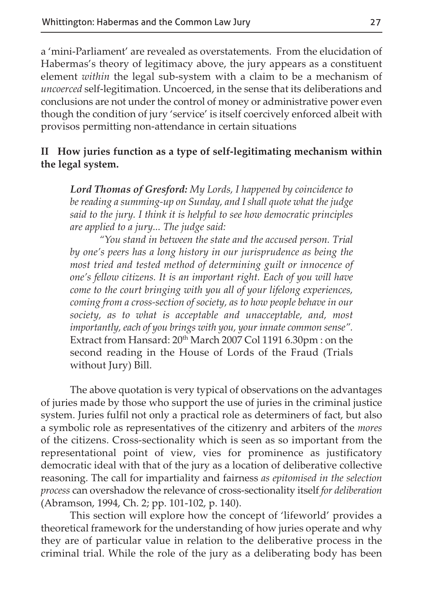a 'mini-Parliament' are revealed as overstatements. From the elucidation of Habermas's theory of legitimacy above, the jury appears as a constituent element *within* the legal sub-system with a claim to be a mechanism of *uncoerced* self-legitimation. Uncoerced, in the sense that its deliberations and conclusions are not under the control of money or administrative power even though the condition of jury 'service' is itself coercively enforced albeit with provisos permitting non-attendance in certain situations

#### **II How juries function as a type of self-legitimating mechanism within the legal system.**

*Lord Thomas of Gresford: My Lords, I happened by coincidence to be reading a summing-up on Sunday, and I shall quote what the judge said to the jury. I think it is helpful to see how democratic principles are applied to a jury... The judge said:*

*"You stand in between the state and the accused person. Trial by one's peers has a long history in our jurisprudence as being the most tried and tested method of determining guilt or innocence of one's fellow citizens. It is an important right. Each of you will have come to the court bringing with you all of your lifelong experiences, coming from a cross-section of society, as to how people behave in our society, as to what is acceptable and unacceptable, and, most importantly, each of you brings with you, your innate common sense".* Extract from Hansard: 20<sup>th</sup> March 2007 Col 1191 6.30pm : on the second reading in the House of Lords of the Fraud (Trials without Jury) Bill.

The above quotation is very typical of observations on the advantages of juries made by those who support the use of juries in the criminal justice system. Juries fulfil not only a practical role as determiners of fact, but also a symbolic role as representatives of the citizenry and arbiters of the *mores* of the citizens. Cross-sectionality which is seen as so important from the representational point of view, vies for prominence as justificatory democratic ideal with that of the jury as a location of deliberative collective reasoning. The call for impartiality and fairness *as epitomised in the selection process* can overshadow the relevance of cross-sectionality itself *for deliberation* (Abramson, 1994, Ch. 2; pp. 101-102, p. 140).

This section will explore how the concept of 'lifeworld' provides a theoretical framework for the understanding of how juries operate and why they are of particular value in relation to the deliberative process in the criminal trial. While the role of the jury as a deliberating body has been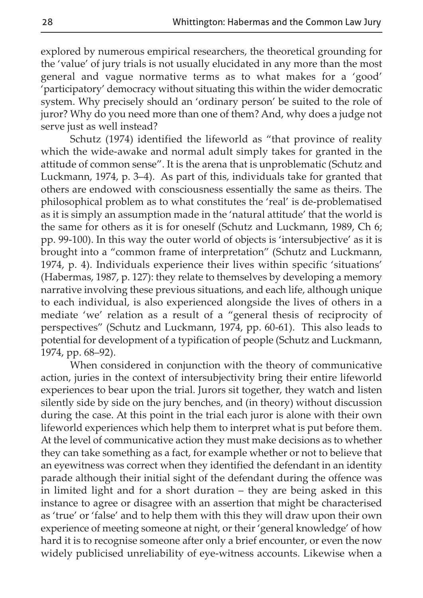explored by numerous empirical researchers, the theoretical grounding for the 'value' of jury trials is not usually elucidated in any more than the most general and vague normative terms as to what makes for a 'good' 'participatory' democracy without situating this within the wider democratic system. Why precisely should an 'ordinary person' be suited to the role of juror? Why do you need more than one of them? And, why does a judge not serve just as well instead?

Schutz (1974) identified the lifeworld as "that province of reality which the wide-awake and normal adult simply takes for granted in the attitude of common sense". It is the arena that is unproblematic (Schutz and Luckmann, 1974, p. 3–4). As part of this, individuals take for granted that others are endowed with consciousness essentially the same as theirs. The philosophical problem as to what constitutes the 'real' is de-problematised as it is simply an assumption made in the 'natural attitude' that the world is the same for others as it is for oneself (Schutz and Luckmann, 1989, Ch 6; pp. 99-100). In this way the outer world of objects is 'intersubjective' as it is brought into a "common frame of interpretation" (Schutz and Luckmann, 1974, p. 4). Individuals experience their lives within specific 'situations' (Habermas, 1987, p. 127): they relate to themselves by developing a memory narrative involving these previous situations, and each life, although unique to each individual, is also experienced alongside the lives of others in a mediate 'we' relation as a result of a "general thesis of reciprocity of perspectives" (Schutz and Luckmann, 1974, pp. 60-61). This also leads to potential for development of a typification of people (Schutz and Luckmann, 1974, pp. 68–92).

When considered in conjunction with the theory of communicative action, juries in the context of intersubjectivity bring their entire lifeworld experiences to bear upon the trial. Jurors sit together, they watch and listen silently side by side on the jury benches, and (in theory) without discussion during the case. At this point in the trial each juror is alone with their own lifeworld experiences which help them to interpret what is put before them. At the level of communicative action they must make decisions as to whether they can take something as a fact, for example whether or not to believe that an eyewitness was correct when they identified the defendant in an identity parade although their initial sight of the defendant during the offence was in limited light and for a short duration – they are being asked in this instance to agree or disagree with an assertion that might be characterised as 'true' or 'false' and to help them with this they will draw upon their own experience of meeting someone at night, or their 'general knowledge' of how hard it is to recognise someone after only a brief encounter, or even the now widely publicised unreliability of eye-witness accounts. Likewise when a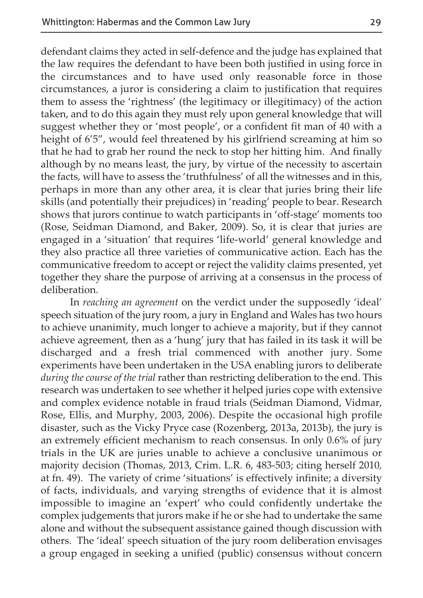defendant claims they acted in self-defence and the judge has explained that the law requires the defendant to have been both justified in using force in the circumstances and to have used only reasonable force in those circumstances, a juror is considering a claim to justification that requires them to assess the 'rightness' (the legitimacy or illegitimacy) of the action taken, and to do this again they must rely upon general knowledge that will suggest whether they or 'most people', or a confident fit man of 40 with a height of 6'5", would feel threatened by his girlfriend screaming at him so that he had to grab her round the neck to stop her hitting him. And finally although by no means least, the jury, by virtue of the necessity to ascertain the facts, will have to assess the 'truthfulness' of all the witnesses and in this, perhaps in more than any other area, it is clear that juries bring their life skills (and potentially their prejudices) in 'reading' people to bear. Research shows that jurors continue to watch participants in 'off-stage' moments too (Rose, Seidman Diamond, and Baker, 2009). So, it is clear that juries are engaged in a 'situation' that requires 'life-world' general knowledge and they also practice all three varieties of communicative action. Each has the communicative freedom to accept or reject the validity claims presented, yet together they share the purpose of arriving at a consensus in the process of deliberation.

In *reaching an agreement* on the verdict under the supposedly 'ideal' speech situation of the jury room, a jury in England and Wales has two hours to achieve unanimity, much longer to achieve a majority, but if they cannot achieve agreement, then as a 'hung' jury that has failed in its task it will be discharged and a fresh trial commenced with another jury. Some experiments have been undertaken in the USA enabling jurors to deliberate *during the course of the trial* rather than restricting deliberation to the end. This research was undertaken to see whether it helped juries cope with extensive and complex evidence notable in fraud trials (Seidman Diamond, Vidmar, Rose, Ellis, and Murphy, 2003, 2006). Despite the occasional high profile disaster, such as the Vicky Pryce case (Rozenberg, 2013a, 2013b), the jury is an extremely efficient mechanism to reach consensus. In only 0.6% of jury trials in the UK are juries unable to achieve a conclusive unanimous or majority decision (Thomas, 2013, Crim. L.R. 6, 483-503; citing herself 2010*,* at fn. 49). The variety of crime 'situations' is effectively infinite; a diversity of facts, individuals, and varying strengths of evidence that it is almost impossible to imagine an 'expert' who could confidently undertake the complex judgements that jurors make if he or she had to undertake the same alone and without the subsequent assistance gained though discussion with others. The 'ideal' speech situation of the jury room deliberation envisages a group engaged in seeking a unified (public) consensus without concern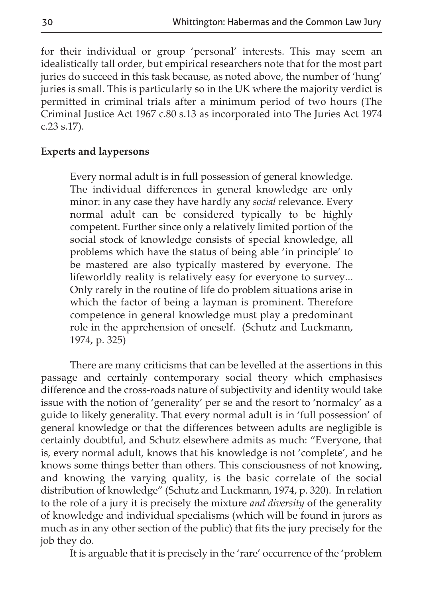for their individual or group 'personal' interests. This may seem an idealistically tall order, but empirical researchers note that for the most part juries do succeed in this task because, as noted above, the number of 'hung' juries is small. This is particularly so in the UK where the majority verdict is permitted in criminal trials after a minimum period of two hours (The Criminal Justice Act 1967 c.80 s.13 as incorporated into The Juries Act 1974 c.23 s.17).

#### **Experts and laypersons**

Every normal adult is in full possession of general knowledge. The individual differences in general knowledge are only minor: in any case they have hardly any *social* relevance. Every normal adult can be considered typically to be highly competent. Further since only a relatively limited portion of the social stock of knowledge consists of special knowledge, all problems which have the status of being able 'in principle' to be mastered are also typically mastered by everyone. The lifeworldly reality is relatively easy for everyone to survey... Only rarely in the routine of life do problem situations arise in which the factor of being a layman is prominent. Therefore competence in general knowledge must play a predominant role in the apprehension of oneself. (Schutz and Luckmann, 1974, p. 325)

There are many criticisms that can be levelled at the assertions in this passage and certainly contemporary social theory which emphasises difference and the cross-roads nature of subjectivity and identity would take issue with the notion of 'generality' per se and the resort to 'normalcy' as a guide to likely generality. That every normal adult is in 'full possession' of general knowledge or that the differences between adults are negligible is certainly doubtful, and Schutz elsewhere admits as much: "Everyone, that is, every normal adult, knows that his knowledge is not 'complete', and he knows some things better than others. This consciousness of not knowing, and knowing the varying quality, is the basic correlate of the social distribution of knowledge" (Schutz and Luckmann, 1974, p. 320). In relation to the role of a jury it is precisely the mixture *and diversity* of the generality of knowledge and individual specialisms (which will be found in jurors as much as in any other section of the public) that fits the jury precisely for the job they do.

It is arguable that it is precisely in the 'rare' occurrence of the 'problem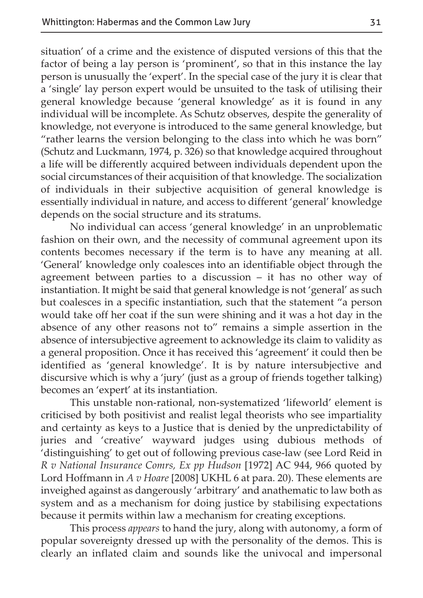situation' of a crime and the existence of disputed versions of this that the factor of being a lay person is 'prominent', so that in this instance the lay person is unusually the 'expert'. In the special case of the jury it is clear that a 'single' lay person expert would be unsuited to the task of utilising their general knowledge because 'general knowledge' as it is found in any individual will be incomplete. As Schutz observes, despite the generality of knowledge, not everyone is introduced to the same general knowledge, but "rather learns the version belonging to the class into which he was born" (Schutz and Luckmann, 1974, p. 326) so that knowledge acquired throughout a life will be differently acquired between individuals dependent upon the social circumstances of their acquisition of that knowledge. The socialization of individuals in their subjective acquisition of general knowledge is essentially individual in nature, and access to different 'general' knowledge depends on the social structure and its stratums.

No individual can access 'general knowledge' in an unproblematic fashion on their own, and the necessity of communal agreement upon its contents becomes necessary if the term is to have any meaning at all. 'General' knowledge only coalesces into an identifiable object through the agreement between parties to a discussion – it has no other way of instantiation. It might be said that general knowledge is not 'general' as such but coalesces in a specific instantiation, such that the statement "a person would take off her coat if the sun were shining and it was a hot day in the absence of any other reasons not to" remains a simple assertion in the absence of intersubjective agreement to acknowledge its claim to validity as a general proposition. Once it has received this 'agreement' it could then be identified as 'general knowledge'. It is by nature intersubjective and discursive which is why a 'jury' (just as a group of friends together talking) becomes an 'expert' at its instantiation.

This unstable non-rational, non-systematized 'lifeworld' element is criticised by both positivist and realist legal theorists who see impartiality and certainty as keys to a Justice that is denied by the unpredictability of juries and 'creative' wayward judges using dubious methods of 'distinguishing' to get out of following previous case-law (see Lord Reid in *R v National Insurance Comrs, Ex pp Hudson* [1972] AC 944, 966 quoted by Lord Hoffmann in *A v Hoare* [2008] UKHL 6 at para. 20). These elements are inveighed against as dangerously 'arbitrary' and anathematic to law both as system and as a mechanism for doing justice by stabilising expectations because it permits within law a mechanism for creating exceptions.

This process *appears* to hand the jury, along with autonomy, a form of popular sovereignty dressed up with the personality of the demos. This is clearly an inflated claim and sounds like the univocal and impersonal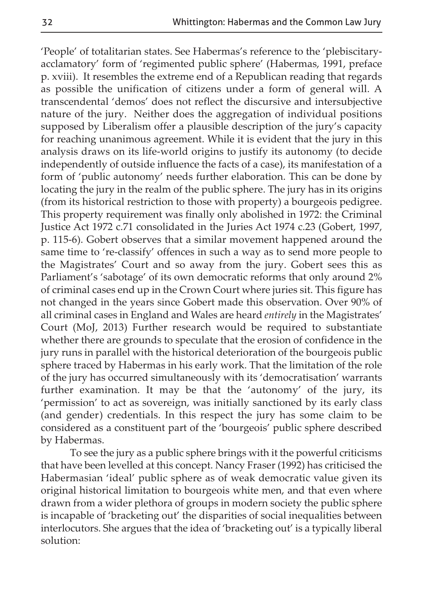'People' of totalitarian states. See Habermas's reference to the 'plebiscitaryacclamatory' form of 'regimented public sphere' (Habermas, 1991, preface p. xviii). It resembles the extreme end of a Republican reading that regards as possible the unification of citizens under a form of general will. A transcendental 'demos' does not reflect the discursive and intersubjective nature of the jury. Neither does the aggregation of individual positions supposed by Liberalism offer a plausible description of the jury's capacity for reaching unanimous agreement. While it is evident that the jury in this analysis draws on its life-world origins to justify its autonomy (to decide independently of outside influence the facts of a case), its manifestation of a form of 'public autonomy' needs further elaboration. This can be done by locating the jury in the realm of the public sphere. The jury has in its origins (from its historical restriction to those with property) a bourgeois pedigree. This property requirement was finally only abolished in 1972: the Criminal Justice Act 1972 c.71 consolidated in the Juries Act 1974 c.23 (Gobert, 1997, p. 115-6). Gobert observes that a similar movement happened around the same time to 're-classify' offences in such a way as to send more people to the Magistrates' Court and so away from the jury. Gobert sees this as Parliament's 'sabotage' of its own democratic reforms that only around 2% of criminal cases end up in the Crown Court where juries sit. This figure has not changed in the years since Gobert made this observation. Over 90% of all criminal cases in England and Wales are heard *entirely* in the Magistrates' Court (MoJ, 2013) Further research would be required to substantiate whether there are grounds to speculate that the erosion of confidence in the jury runs in parallel with the historical deterioration of the bourgeois public sphere traced by Habermas in his early work. That the limitation of the role of the jury has occurred simultaneously with its 'democratisation' warrants further examination. It may be that the 'autonomy' of the jury, its 'permission' to act as sovereign, was initially sanctioned by its early class (and gender) credentials. In this respect the jury has some claim to be considered as a constituent part of the 'bourgeois' public sphere described by Habermas.

To see the jury as a public sphere brings with it the powerful criticisms that have been levelled at this concept. Nancy Fraser (1992) has criticised the Habermasian 'ideal' public sphere as of weak democratic value given its original historical limitation to bourgeois white men, and that even where drawn from a wider plethora of groups in modern society the public sphere is incapable of 'bracketing out' the disparities of social inequalities between interlocutors. She argues that the idea of 'bracketing out' is a typically liberal solution: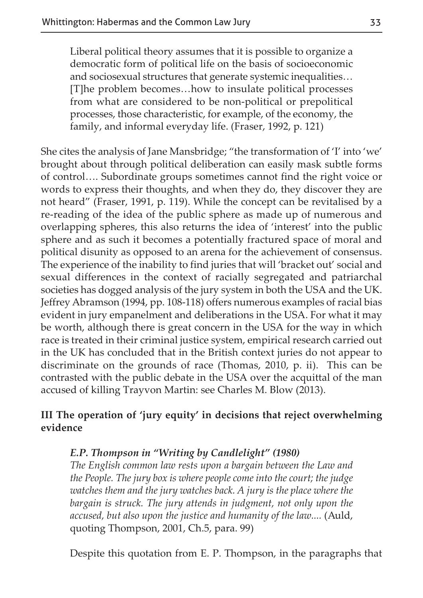Liberal political theory assumes that it is possible to organize a democratic form of political life on the basis of socioeconomic and sociosexual structures that generate systemic inequalities… [T]he problem becomes…how to insulate political processes from what are considered to be non-political or prepolitical processes, those characteristic, for example, of the economy, the family, and informal everyday life. (Fraser, 1992, p. 121)

She cites the analysis of Jane Mansbridge; "the transformation of 'I' into 'we' brought about through political deliberation can easily mask subtle forms of control…. Subordinate groups sometimes cannot find the right voice or words to express their thoughts, and when they do, they discover they are not heard" (Fraser, 1991, p. 119). While the concept can be revitalised by a re-reading of the idea of the public sphere as made up of numerous and overlapping spheres, this also returns the idea of 'interest' into the public sphere and as such it becomes a potentially fractured space of moral and political disunity as opposed to an arena for the achievement of consensus. The experience of the inability to find juries that will 'bracket out' social and sexual differences in the context of racially segregated and patriarchal societies has dogged analysis of the jury system in both the USA and the UK. Jeffrey Abramson (1994, pp. 108-118) offers numerous examples of racial bias evident in jury empanelment and deliberations in the USA. For what it may be worth, although there is great concern in the USA for the way in which race is treated in their criminal justice system, empirical research carried out in the UK has concluded that in the British context juries do not appear to discriminate on the grounds of race (Thomas, 2010, p. ii). This can be contrasted with the public debate in the USA over the acquittal of the man accused of killing Trayvon Martin: see Charles M. Blow (2013).

#### **III The operation of 'jury equity' in decisions that reject overwhelming evidence**

#### *E.P. Thompson in "Writing by Candlelight" (1980)*

*The English common law rests upon a bargain between the Law and the People. The jury box is where people come into the court; the judge watches them and the jury watches back. A jury is the place where the bargain is struck. The jury attends in judgment, not only upon the accused, but also upon the justice and humanity of the law....* (Auld, quoting Thompson, 2001, Ch.5, para. 99)

Despite this quotation from E. P. Thompson, in the paragraphs that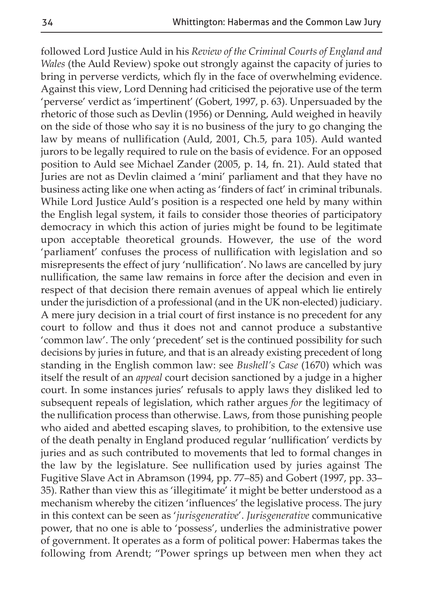followed Lord Justice Auld in his *Review of the Criminal Courts of England and Wales* (the Auld Review) spoke out strongly against the capacity of juries to bring in perverse verdicts, which fly in the face of overwhelming evidence. Against this view, Lord Denning had criticised the pejorative use of the term 'perverse' verdict as 'impertinent' (Gobert, 1997, p. 63). Unpersuaded by the rhetoric of those such as Devlin (1956) or Denning, Auld weighed in heavily on the side of those who say it is no business of the jury to go changing the law by means of nullification (Auld, 2001, Ch.5, para 105). Auld wanted jurors to be legally required to rule on the basis of evidence. For an opposed position to Auld see Michael Zander (2005, p. 14, fn. 21). Auld stated that Juries are not as Devlin claimed a 'mini' parliament and that they have no business acting like one when acting as 'finders of fact' in criminal tribunals. While Lord Justice Auld's position is a respected one held by many within the English legal system, it fails to consider those theories of participatory democracy in which this action of juries might be found to be legitimate upon acceptable theoretical grounds. However, the use of the word 'parliament' confuses the process of nullification with legislation and so misrepresents the effect of jury 'nullification'. No laws are cancelled by jury nullification, the same law remains in force after the decision and even in respect of that decision there remain avenues of appeal which lie entirely under the jurisdiction of a professional (and in the UK non-elected) judiciary. A mere jury decision in a trial court of first instance is no precedent for any court to follow and thus it does not and cannot produce a substantive 'common law'. The only 'precedent' set is the continued possibility for such decisions by juries in future, and that is an already existing precedent of long standing in the English common law: see *Bushell's Case* (1670) which was itself the result of an *appeal* court decision sanctioned by a judge in a higher court. In some instances juries' refusals to apply laws they disliked led to subsequent repeals of legislation, which rather argues *for* the legitimacy of the nullification process than otherwise. Laws, from those punishing people who aided and abetted escaping slaves, to prohibition, to the extensive use of the death penalty in England produced regular 'nullification' verdicts by juries and as such contributed to movements that led to formal changes in the law by the legislature. See nullification used by juries against The Fugitive Slave Act in Abramson (1994, pp. 77–85) and Gobert (1997, pp. 33– 35). Rather than view this as 'illegitimate' it might be better understood as a mechanism whereby the citizen 'influences' the legislative process. The jury in this context can be seen as '*jurisgenerative*'. *Jurisgenerative* communicative power, that no one is able to 'possess', underlies the administrative power of government. It operates as a form of political power: Habermas takes the following from Arendt; "Power springs up between men when they act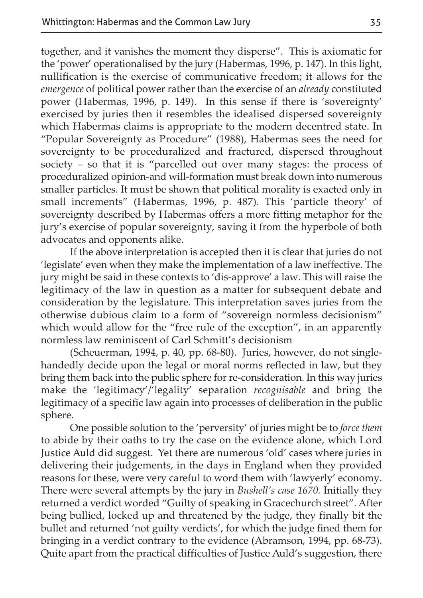together, and it vanishes the moment they disperse". This is axiomatic for the 'power' operationalised by the jury (Habermas, 1996, p. 147). In this light, nullification is the exercise of communicative freedom; it allows for the *emergence* of political power rather than the exercise of an *already* constituted power (Habermas, 1996, p. 149). In this sense if there is 'sovereignty' exercised by juries then it resembles the idealised dispersed sovereignty which Habermas claims is appropriate to the modern decentred state. In "Popular Sovereignty as Procedure" (1988), Habermas sees the need for sovereignty to be proceduralized and fractured, dispersed throughout society – so that it is "parcelled out over many stages: the process of proceduralized opinion-and will-formation must break down into numerous smaller particles. It must be shown that political morality is exacted only in small increments" (Habermas, 1996, p. 487). This 'particle theory' of sovereignty described by Habermas offers a more fitting metaphor for the jury's exercise of popular sovereignty, saving it from the hyperbole of both advocates and opponents alike.

If the above interpretation is accepted then it is clear that juries do not 'legislate' even when they make the implementation of a law ineffective. The jury might be said in these contexts to 'dis-approve' a law. This will raise the legitimacy of the law in question as a matter for subsequent debate and consideration by the legislature. This interpretation saves juries from the otherwise dubious claim to a form of "sovereign normless decisionism" which would allow for the "free rule of the exception", in an apparently normless law reminiscent of Carl Schmitt's decisionism

(Scheuerman, 1994, p. 40, pp. 68-80). Juries, however, do not singlehandedly decide upon the legal or moral norms reflected in law, but they bring them back into the public sphere for re-consideration. In this way juries make the 'legitimacy'/'legality' separation *recognisable* and bring the legitimacy of a specific law again into processes of deliberation in the public sphere.

One possible solution to the 'perversity' of juries might be to *force them* to abide by their oaths to try the case on the evidence alone, which Lord Justice Auld did suggest. Yet there are numerous 'old' cases where juries in delivering their judgements, in the days in England when they provided reasons for these, were very careful to word them with 'lawyerly' economy. There were several attempts by the jury in *Bushell's case 1670.* Initially they returned a verdict worded "Guilty of speaking in Gracechurch street". After being bullied, locked up and threatened by the judge, they finally bit the bullet and returned 'not guilty verdicts', for which the judge fined them for bringing in a verdict contrary to the evidence (Abramson, 1994, pp. 68-73). Quite apart from the practical difficulties of Justice Auld's suggestion, there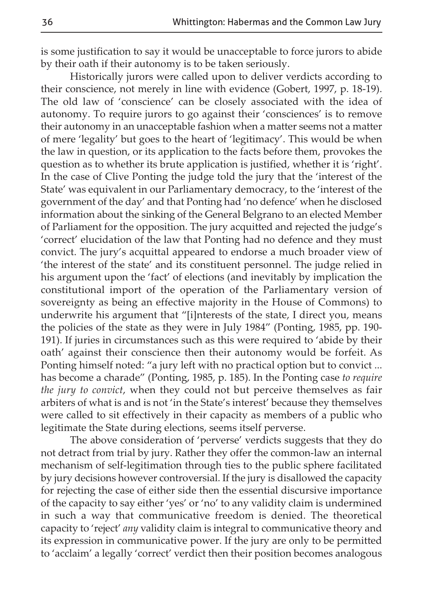is some justification to say it would be unacceptable to force jurors to abide by their oath if their autonomy is to be taken seriously.

Historically jurors were called upon to deliver verdicts according to their conscience, not merely in line with evidence (Gobert, 1997, p. 18-19). The old law of 'conscience' can be closely associated with the idea of autonomy. To require jurors to go against their 'consciences' is to remove their autonomy in an unacceptable fashion when a matter seems not a matter of mere 'legality' but goes to the heart of 'legitimacy'. This would be when the law in question, or its application to the facts before them, provokes the question as to whether its brute application is justified, whether it is 'right'. In the case of Clive Ponting the judge told the jury that the 'interest of the State' was equivalent in our Parliamentary democracy, to the 'interest of the government of the day' and that Ponting had 'no defence' when he disclosed information about the sinking of the General Belgrano to an elected Member of Parliament for the opposition. The jury acquitted and rejected the judge's 'correct' elucidation of the law that Ponting had no defence and they must convict. The jury's acquittal appeared to endorse a much broader view of 'the interest of the state' and its constituent personnel. The judge relied in his argument upon the 'fact' of elections (and inevitably by implication the constitutional import of the operation of the Parliamentary version of sovereignty as being an effective majority in the House of Commons) to underwrite his argument that "[i]nterests of the state, I direct you, means the policies of the state as they were in July 1984" (Ponting, 1985, pp. 190- 191). If juries in circumstances such as this were required to 'abide by their oath' against their conscience then their autonomy would be forfeit. As Ponting himself noted: "a jury left with no practical option but to convict ... has become a charade" (Ponting, 1985, p. 185). In the Ponting case *to require the jury to convict*, when they could not but perceive themselves as fair arbiters of what is and is not 'in the State's interest' because they themselves were called to sit effectively in their capacity as members of a public who legitimate the State during elections, seems itself perverse.

The above consideration of 'perverse' verdicts suggests that they do not detract from trial by jury. Rather they offer the common-law an internal mechanism of self-legitimation through ties to the public sphere facilitated by jury decisions however controversial. If the jury is disallowed the capacity for rejecting the case of either side then the essential discursive importance of the capacity to say either 'yes' or 'no' to any validity claim is undermined in such a way that communicative freedom is denied. The theoretical capacity to 'reject' *any* validity claim is integral to communicative theory and its expression in communicative power. If the jury are only to be permitted to 'acclaim' a legally 'correct' verdict then their position becomes analogous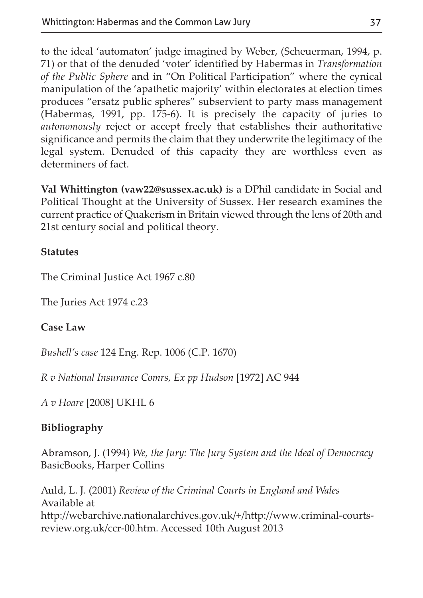to the ideal 'automaton' judge imagined by Weber, (Scheuerman, 1994, p. 71) or that of the denuded 'voter' identified by Habermas in *Transformation of the Public Sphere* and in "On Political Participation" where the cynical manipulation of the 'apathetic majority' within electorates at election times produces "ersatz public spheres" subservient to party mass management (Habermas, 1991, pp. 175-6). It is precisely the capacity of juries to *autonomously* reject or accept freely that establishes their authoritative significance and permits the claim that they underwrite the legitimacy of the legal system. Denuded of this capacity they are worthless even as determiners of fact.

**Val Whittington (vaw22@sussex.ac.uk)** is a DPhil candidate in Social and Political Thought at the University of Sussex. Her research examines the current practice of Quakerism in Britain viewed through the lens of 20th and 21st century social and political theory.

#### **Statutes**

The Criminal Justice Act 1967 c.80

The Juries Act 1974 c.23

#### **Case Law**

*Bushell's case* 124 Eng. Rep. 1006 (C.P. 1670)

*R v National Insurance Comrs, Ex pp Hudson* [1972] AC 944

*A v Hoare* [2008] UKHL 6

### **Bibliography**

Abramson, J. (1994) *We, the Jury: The Jury System and the Ideal of Democracy* BasicBooks, Harper Collins

Auld, L. J. (2001) *Review of the Criminal Courts in England and Wales* Available at http://webarchive.nationalarchives.gov.uk/+/http://www.criminal-courtsreview.org.uk/ccr-00.htm. Accessed 10th August 2013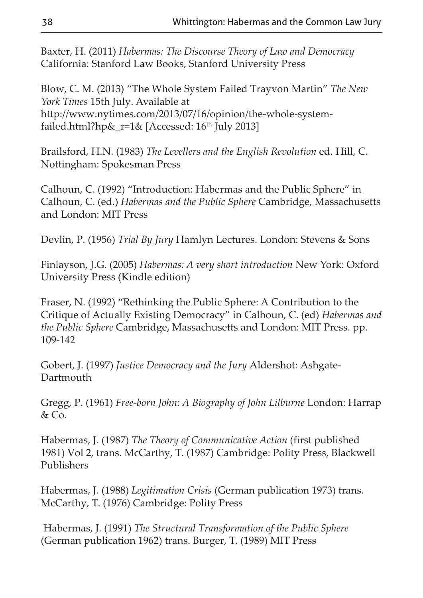Baxter, H. (2011) *Habermas: The Discourse Theory of Law and Democracy* California: Stanford Law Books, Stanford University Press

Blow, C. M. (2013) "The Whole System Failed Trayvon Martin" *The New York Times* 15th July. Available at http://www.nytimes.com/2013/07/16/opinion/the-whole-systemfailed.html?hp&\_r=1& [Accessed:  $16<sup>th</sup>$  July 2013]

Brailsford, H.N. (1983) *The Levellers and the English Revolution* ed. Hill, C. Nottingham: Spokesman Press

Calhoun, C. (1992) "Introduction: Habermas and the Public Sphere" in Calhoun, C. (ed.) *Habermas and the Public Sphere* Cambridge, Massachusetts and London: MIT Press

Devlin, P. (1956) *Trial By Jury* Hamlyn Lectures. London: Stevens & Sons

Finlayson, J.G. (2005) *Habermas: A very short introduction* New York: Oxford University Press (Kindle edition)

Fraser, N. (1992) "Rethinking the Public Sphere: A Contribution to the Critique of Actually Existing Democracy" in Calhoun, C. (ed) *Habermas and the Public Sphere* Cambridge, Massachusetts and London: MIT Press. pp. 109-142

Gobert, J. (1997) *Justice Democracy and the Jury* Aldershot: Ashgate-Dartmouth

Gregg, P. (1961) *Free-born John: A Biography of John Lilburne* London: Harrap & Co.

Habermas, J. (1987) *The Theory of Communicative Action* (first published 1981) Vol 2, trans. McCarthy, T. (1987) Cambridge: Polity Press, Blackwell Publishers

Habermas, J. (1988) *Legitimation Crisis* (German publication 1973) trans. McCarthy, T. (1976) Cambridge: Polity Press

Habermas, J. (1991) *The Structural Transformation of the Public Sphere* (German publication 1962) trans. Burger, T. (1989) MIT Press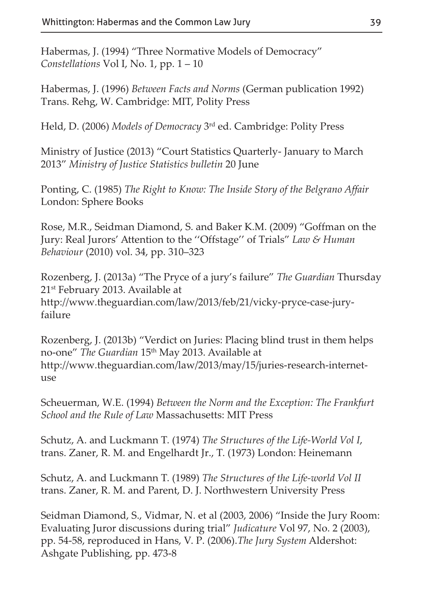Habermas, J. (1994) "Three Normative Models of Democracy" *Constellations* Vol I, No. 1, pp. 1 – 10

Habermas, J. (1996) *Between Facts and Norms* (German publication 1992) Trans. Rehg, W. Cambridge: MIT, Polity Press

Held, D. (2006) *Models of Democracy* 3rd ed. Cambridge: Polity Press

Ministry of Justice (2013) "Court Statistics Quarterly- January to March 2013" *Ministry of Justice Statistics bulletin* 20 June

Ponting, C. (1985) *The Right to Know: The Inside Story of the Belgrano Affair* London: Sphere Books

Rose, M.R., Seidman Diamond, S. and Baker K.M. (2009) "Goffman on the Jury: Real Jurors' Attention to the ''Offstage'' of Trials" *Law & Human Behaviour* (2010) vol. 34, pp. 310–323

Rozenberg, J. (2013a) "The Pryce of a jury's failure" *The Guardian* Thursday 21st February 2013. Available at http://www.theguardian.com/law/2013/feb/21/vicky-pryce-case-juryfailure

Rozenberg, J. (2013b) "Verdict on Juries: Placing blind trust in them helps no-one" *The Guardian* 15th May 2013. Available at http://www.theguardian.com/law/2013/may/15/juries-research-internetuse

Scheuerman, W.E. (1994) *Between the Norm and the Exception: The Frankfurt School and the Rule of Law* Massachusetts: MIT Press

Schutz, A. and Luckmann T. (1974) *The Structures of the Life-World Vol I*, trans. Zaner, R. M. and Engelhardt Jr., T. (1973) London: Heinemann

Schutz, A. and Luckmann T. (1989) *The Structures of the Life-world Vol II* trans. Zaner, R. M. and Parent, D. J. Northwestern University Press

Seidman Diamond, S., Vidmar, N. et al (2003, 2006) "Inside the Jury Room: Evaluating Juror discussions during trial" *Judicature* Vol 97, No. 2 (2003), pp. 54-58, reproduced in Hans, V. P. (2006).*The Jury System* Aldershot: Ashgate Publishing, pp. 473-8